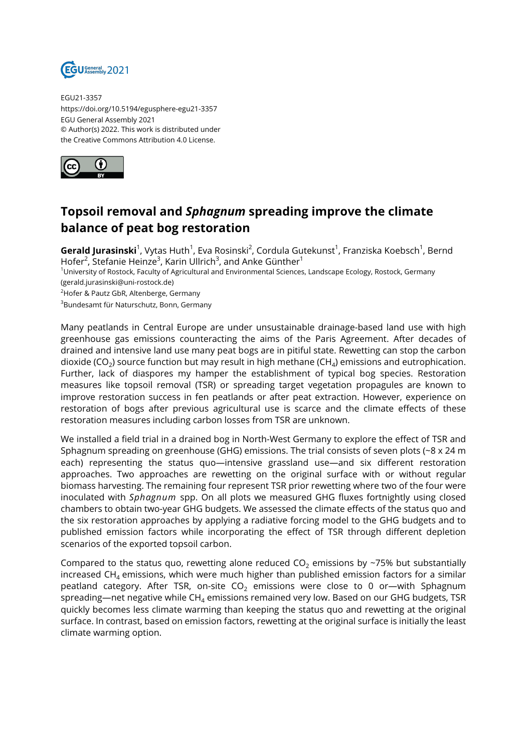

EGU21-3357 https://doi.org/10.5194/egusphere-egu21-3357 EGU General Assembly 2021 © Author(s) 2022. This work is distributed under the Creative Commons Attribution 4.0 License.



## **Topsoil removal and** *Sphagnum* **spreading improve the climate balance of peat bog restoration**

**Gerald Jurasinski**<sup>1</sup>, Vytas Huth<sup>1</sup>, Eva Rosinski<sup>2</sup>, Cordula Gutekunst<sup>1</sup>, Franziska Koebsch<sup>1</sup>, Bernd Hofer<sup>2</sup>, Stefanie Heinze<sup>3</sup>, Karin Ullrich<sup>3</sup>, and Anke Günther<sup>1</sup>

<sup>1</sup>University of Rostock, Faculty of Agricultural and Environmental Sciences, Landscape Ecology, Rostock, Germany (gerald.jurasinski@uni-rostock.de)

<sup>2</sup>Hofer & Pautz GbR, Altenberge, Germany

<sup>3</sup>Bundesamt für Naturschutz, Bonn, Germany

Many peatlands in Central Europe are under unsustainable drainage-based land use with high greenhouse gas emissions counteracting the aims of the Paris Agreement. After decades of drained and intensive land use many peat bogs are in pitiful state. Rewetting can stop the carbon dioxide (CO<sub>2</sub>) source function but may result in high methane (CH<sub>4</sub>) emissions and eutrophication. Further, lack of diaspores my hamper the establishment of typical bog species. Restoration measures like topsoil removal (TSR) or spreading target vegetation propagules are known to improve restoration success in fen peatlands or after peat extraction. However, experience on restoration of bogs after previous agricultural use is scarce and the climate effects of these restoration measures including carbon losses from TSR are unknown.

We installed a field trial in a drained bog in North-West Germany to explore the effect of TSR and Sphagnum spreading on greenhouse (GHG) emissions. The trial consists of seven plots (~8 x 24 m each) representing the status quo—intensive grassland use—and six different restoration approaches. Two approaches are rewetting on the original surface with or without regular biomass harvesting. The remaining four represent TSR prior rewetting where two of the four were inoculated with *Sphagnum* spp. On all plots we measured GHG fluxes fortnightly using closed chambers to obtain two-year GHG budgets. We assessed the climate effects of the status quo and the six restoration approaches by applying a radiative forcing model to the GHG budgets and to published emission factors while incorporating the effect of TSR through different depletion scenarios of the exported topsoil carbon.

Compared to the status quo, rewetting alone reduced  $CO<sub>2</sub>$  emissions by ~75% but substantially increased CH<sub>4</sub> emissions, which were much higher than published emission factors for a similar peatland category. After TSR, on-site  $CO<sub>2</sub>$  emissions were close to 0 or—with Sphagnum spreading—net negative while  $CH<sub>4</sub>$  emissions remained very low. Based on our GHG budgets, TSR quickly becomes less climate warming than keeping the status quo and rewetting at the original surface. In contrast, based on emission factors, rewetting at the original surface is initially the least climate warming option.